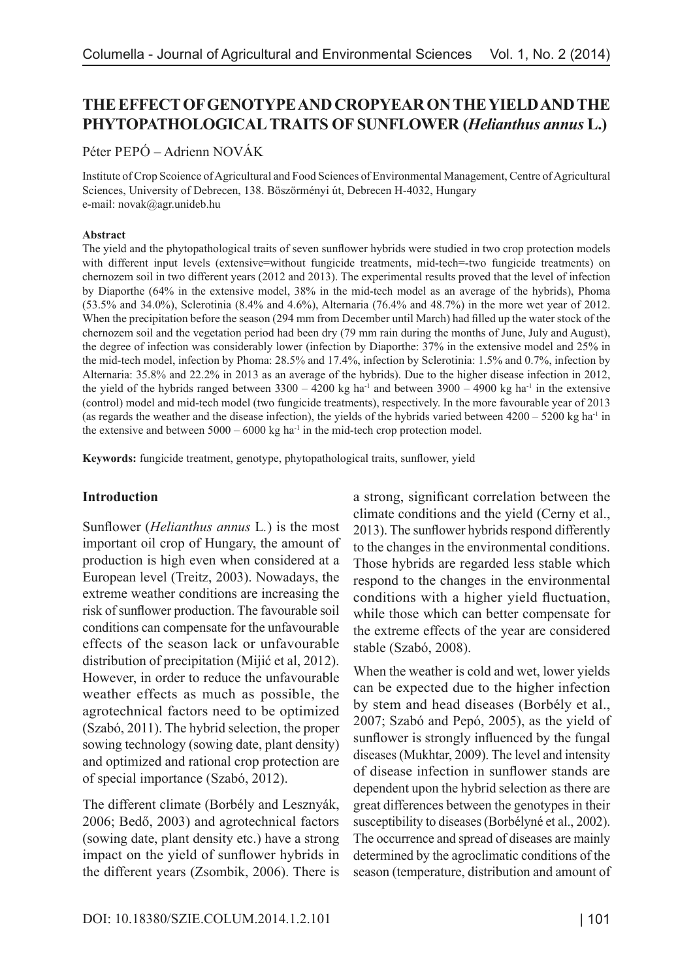# **THE EFFECT OF GENOTYPE AND CROPYEAR ON THE YIELD AND THE PHYTOPATHOLOGICAL TRAITS OF SUNFLOWER (***Helianthus annus* **L.)**

Péter PEPÓ – Adrienn NOVÁK

Institute of Crop Scoience of Agricultural and Food Sciences of Environmental Management, Centre of Agricultural Sciences, University of Debrecen, 138. Böszörményi út, Debrecen H-4032, Hungary e-mail: novak@agr.unideb.hu

#### **Abstract**

The yield and the phytopathological traits of seven sunflower hybrids were studied in two crop protection models with different input levels (extensive=without fungicide treatments, mid-tech=-two fungicide treatments) on chernozem soil in two different years (2012 and 2013). The experimental results proved that the level of infection by Diaporthe (64% in the extensive model, 38% in the mid-tech model as an average of the hybrids), Phoma (53.5% and 34.0%), Sclerotinia (8.4% and 4.6%), Alternaria (76.4% and 48.7%) in the more wet year of 2012. When the precipitation before the season (294 mm from December until March) had filled up the water stock of the chernozem soil and the vegetation period had been dry (79 mm rain during the months of June, July and August), the degree of infection was considerably lower (infection by Diaporthe: 37% in the extensive model and 25% in the mid-tech model, infection by Phoma: 28.5% and 17.4%, infection by Sclerotinia: 1.5% and 0.7%, infection by Alternaria: 35.8% and 22.2% in 2013 as an average of the hybrids). Due to the higher disease infection in 2012, the yield of the hybrids ranged between  $3300 - 4200$  kg ha<sup>-1</sup> and between  $3900 - 4900$  kg ha<sup>-1</sup> in the extensive (control) model and mid-tech model (two fungicide treatments), respectively. In the more favourable year of 2013 (as regards the weather and the disease infection), the yields of the hybrids varied between  $4200 - 5200$  kg ha<sup>-1</sup> in the extensive and between  $5000 - 6000$  kg ha<sup>-1</sup> in the mid-tech crop protection model.

**Keywords:** fungicide treatment, genotype, phytopathological traits, sunflower, yield

#### **Introduction**

Sunflower (*Helianthus annus* L*.*) is the most important oil crop of Hungary, the amount of production is high even when considered at a European level (Treitz, 2003). Nowadays, the extreme weather conditions are increasing the risk of sunflower production. The favourable soil conditions can compensate for the unfavourable effects of the season lack or unfavourable distribution of precipitation (Mijić et al, 2012). However, in order to reduce the unfavourable weather effects as much as possible, the agrotechnical factors need to be optimized (Szabó, 2011). The hybrid selection, the proper sowing technology (sowing date, plant density) and optimized and rational crop protection are of special importance (Szabó, 2012).

The different climate (Borbély and Lesznyák, 2006; Bedő, 2003) and agrotechnical factors (sowing date, plant density etc.) have a strong impact on the yield of sunflower hybrids in the different years (Zsombik, 2006). There is

a strong, significant correlation between the climate conditions and the yield (Cerny et al., 2013). The sunflower hybrids respond differently to the changes in the environmental conditions. Those hybrids are regarded less stable which respond to the changes in the environmental conditions with a higher yield fluctuation, while those which can better compensate for the extreme effects of the year are considered stable (Szabó, 2008).

When the weather is cold and wet, lower yields can be expected due to the higher infection by stem and head diseases (Borbély et al., 2007; Szabó and Pepó, 2005), as the yield of sunflower is strongly influenced by the fungal diseases (Mukhtar, 2009). The level and intensity of disease infection in sunflower stands are dependent upon the hybrid selection as there are great differences between the genotypes in their susceptibility to diseases (Borbélyné et al., 2002). The occurrence and spread of diseases are mainly determined by the agroclimatic conditions of the season (temperature, distribution and amount of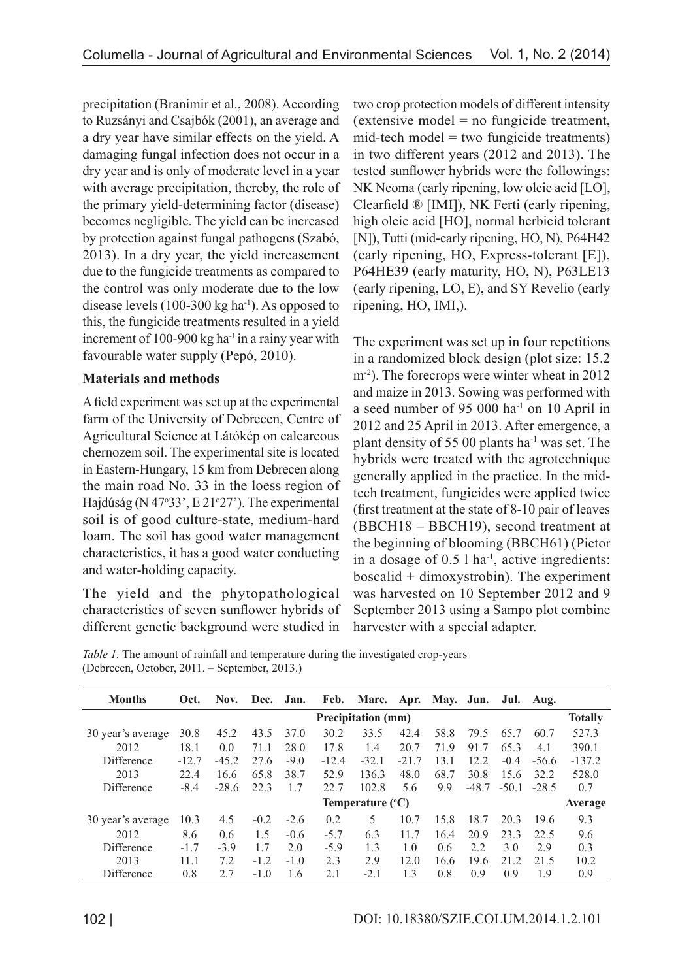precipitation (Branimir et al., 2008). According to Ruzsányi and Csajbók (2001), an average and a dry year have similar effects on the yield. A damaging fungal infection does not occur in a dry year and is only of moderate level in a year with average precipitation, thereby, the role of the primary yield-determining factor (disease) becomes negligible. The yield can be increased by protection against fungal pathogens (Szabó, 2013). In a dry year, the yield increasement due to the fungicide treatments as compared to the control was only moderate due to the low disease levels  $(100-300 \text{ kg ha}^{-1})$ . As opposed to this, the fungicide treatments resulted in a yield increment of  $100-900$  kg ha<sup>-1</sup> in a rainy year with favourable water supply (Pepó, 2010).

# **Materials and methods**

A field experiment was set up at the experimental farm of the University of Debrecen, Centre of Agricultural Science at Látókép on calcareous chernozem soil. The experimental site is located in Eastern-Hungary, 15 km from Debrecen along the main road No. 33 in the loess region of Hajdúság (N 47°33', E 21°27'). The experimental soil is of good culture-state, medium-hard loam. The soil has good water management characteristics, it has a good water conducting and water-holding capacity.

The yield and the phytopathological characteristics of seven sunflower hybrids of different genetic background were studied in

two crop protection models of different intensity (extensive model = no fungicide treatment,  $mid$ -tech model = two fungicide treatments) in two different years (2012 and 2013). The tested sunflower hybrids were the followings: NK Neoma (early ripening, low oleic acid [LO], Clearfield ® [IMI]), NK Ferti (early ripening, high oleic acid [HO], normal herbicid tolerant [N]), Tutti (mid-early ripening, HO, N), P64H42 (early ripening, HO, Express-tolerant [E]), P64HE39 (early maturity, HO, N), P63LE13 (early ripening, LO, E), and SY Revelio (early ripening, HO, IMI,).

The experiment was set up in four repetitions in a randomized block design (plot size: 15.2 m<sup>-2</sup>). The forecrops were winter wheat in 2012 and maize in 2013. Sowing was performed with a seed number of 95 000 ha-1 on 10 April in 2012 and 25 April in 2013. After emergence, a plant density of 55 00 plants ha-1 was set. The hybrids were treated with the agrotechnique generally applied in the practice. In the midtech treatment, fungicides were applied twice (first treatment at the state of 8-10 pair of leaves (BBCH18 – BBCH19), second treatment at the beginning of blooming (BBCH61) (Pictor in a dosage of 0.5 l ha-1, active ingredients: boscalid + dimoxystrobin). The experiment was harvested on 10 September 2012 and 9 September 2013 using a Sampo plot combine harvester with a special adapter.

*Table 1.* The amount of rainfall and temperature during the investigated crop-years (Debrecen, October, 2011. – September, 2013.)

| <b>Months</b>     | Oct.                      | Nov.                      | Dec. Jan. |        |         | Feb. Marc. Apr. May. Jun. Jul. Aug. |         |      |                |         |         |          |
|-------------------|---------------------------|---------------------------|-----------|--------|---------|-------------------------------------|---------|------|----------------|---------|---------|----------|
|                   | <b>Precipitation (mm)</b> |                           |           |        |         |                                     |         |      | <b>Totally</b> |         |         |          |
| 30 year's average | 30.8                      | 45.2                      | 43.5      | 37.0   | 30.2    | 33.5                                | 42.4    | 58.8 | 79.5           | 65.7    | 60.7    | 527.3    |
| 2012              | 18.1                      | 0.0                       | 711       | 28.0   | 17.8    | 1.4                                 | 20.7    | 719  | 91.7           | 65.3    | 4.1     | 390.1    |
| Difference        | $-12.7$                   | $-45.2$                   | 27.6      | $-9.0$ | $-12.4$ | $-32.1$                             | $-21.7$ | 13.1 | 12.2           | $-0.4$  | $-56.6$ | $-137.2$ |
| 2013              | 22.4                      | 16.6                      | 65.8      | 38.7   | 52.9    | 136.3                               | 48.0    | 68.7 | 30.8           | 15.6    | 32.2    | 528.0    |
| Difference        | $-8.4$                    | $-28.6$                   | 22.3      | 1.7    | 22.7    | 1028                                | 5.6     | 9.9  | $-48.7$        | $-50.1$ | $-28.5$ | 0.7      |
|                   |                           | Temperature $(^{\circ}C)$ |           |        |         |                                     |         |      |                | Average |         |          |
| 30 year's average | 10.3                      | 4.5                       | $-0.2$    | $-2.6$ | 0.2     | 5                                   | 10.7    | 15.8 | 18.7           | 20.3    | 196     | 9.3      |
| 2012              | 8.6                       | 0.6                       | 1.5       | $-0.6$ | $-5.7$  | 6.3                                 | 117     | 16.4 | 20.9           | 23.3    | 22.5    | 9.6      |
| Difference        | $-1.7$                    | $-3.9$                    | 1.7       | 2.0    | $-5.9$  | 1.3                                 | 1.0     | 0.6  | 2.2            | 30      | 2.9     | 0.3      |
| 2013              | 111                       | 7.2                       | $-1.2$    | $-1.0$ | 2.3     | 29                                  | 120     | 16.6 | 196            | 21.2    | 21.5    | 10.2     |
| Difference        | 0.8                       | 2.7                       | $-1.0$    | 1.6    | 2.1     | $-2.1$                              | 1.3     | 0.8  | 0.9            | 09      | 1.9     | 0.9      |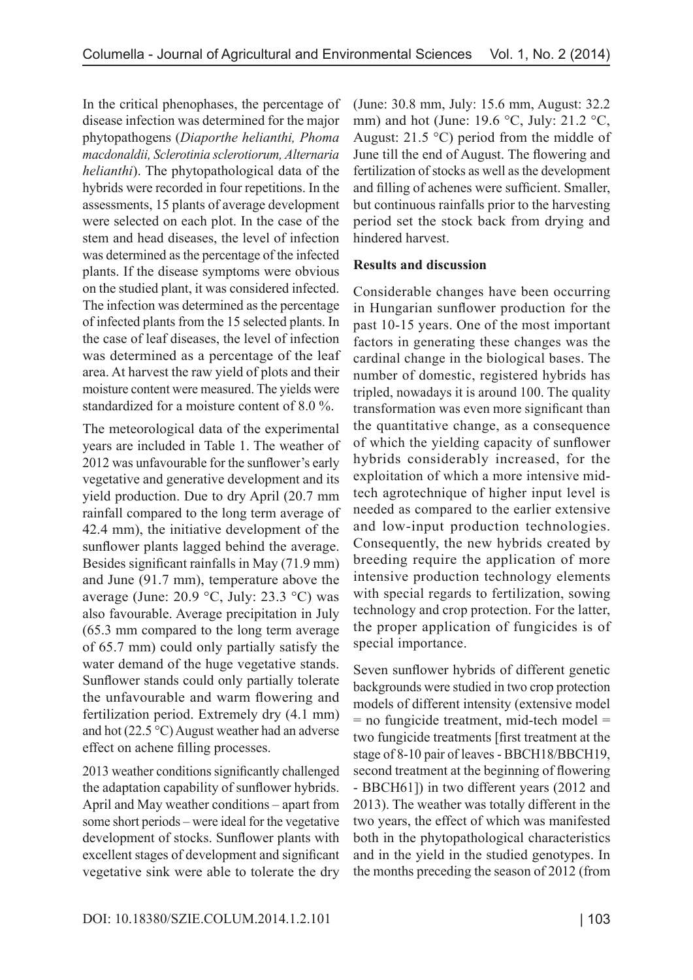In the critical phenophases, the percentage of disease infection was determined for the major phytopathogens (*Diaporthe helianthi, Phoma macdonaldii, Sclerotinia sclerotiorum, Alternaria helianthi*). The phytopathological data of the hybrids were recorded in four repetitions. In the assessments, 15 plants of average development were selected on each plot. In the case of the stem and head diseases, the level of infection was determined as the percentage of the infected plants. If the disease symptoms were obvious on the studied plant, it was considered infected. The infection was determined as the percentage of infected plants from the 15 selected plants. In the case of leaf diseases, the level of infection was determined as a percentage of the leaf area. At harvest the raw yield of plots and their moisture content were measured. The yields were standardized for a moisture content of 8.0 %.

The meteorological data of the experimental years are included in Table 1. The weather of 2012 was unfavourable for the sunflower's early vegetative and generative development and its yield production. Due to dry April (20.7 mm rainfall compared to the long term average of 42.4 mm), the initiative development of the sunflower plants lagged behind the average. Besides significant rainfalls in May (71.9 mm) and June (91.7 mm), temperature above the average (June: 20.9 °C, July: 23.3 °C) was also favourable. Average precipitation in July (65.3 mm compared to the long term average of 65.7 mm) could only partially satisfy the water demand of the huge vegetative stands. Sunflower stands could only partially tolerate the unfavourable and warm flowering and fertilization period. Extremely dry (4.1 mm) and hot (22.5 °C) August weather had an adverse effect on achene filling processes.

2013 weather conditions significantly challenged the adaptation capability of sunflower hybrids. April and May weather conditions – apart from some short periods – were ideal for the vegetative development of stocks. Sunflower plants with excellent stages of development and significant vegetative sink were able to tolerate the dry

(June: 30.8 mm, July: 15.6 mm, August: 32.2 mm) and hot (June: 19.6  $\degree$ C, July: 21.2  $\degree$ C, August:  $21.5 \text{ }^{\circ}\text{C}$ ) period from the middle of June till the end of August. The flowering and fertilization of stocks as well as the development and filling of achenes were sufficient. Smaller, but continuous rainfalls prior to the harvesting period set the stock back from drying and hindered harvest.

#### **Results and discussion**

Considerable changes have been occurring in Hungarian sunflower production for the past 10-15 years. One of the most important factors in generating these changes was the cardinal change in the biological bases. The number of domestic, registered hybrids has tripled, nowadays it is around 100. The quality transformation was even more significant than the quantitative change, as a consequence of which the yielding capacity of sunflower hybrids considerably increased, for the exploitation of which a more intensive midtech agrotechnique of higher input level is needed as compared to the earlier extensive and low-input production technologies. Consequently, the new hybrids created by breeding require the application of more intensive production technology elements with special regards to fertilization, sowing technology and crop protection. For the latter, the proper application of fungicides is of special importance.

Seven sunflower hybrids of different genetic backgrounds were studied in two crop protection models of different intensity (extensive model  $=$  no fungicide treatment, mid-tech model  $=$ two fungicide treatments [first treatment at the stage of 8-10 pair of leaves - BBCH18/BBCH19, second treatment at the beginning of flowering - BBCH61]) in two different years (2012 and 2013). The weather was totally different in the two years, the effect of which was manifested both in the phytopathological characteristics and in the yield in the studied genotypes. In the months preceding the season of 2012 (from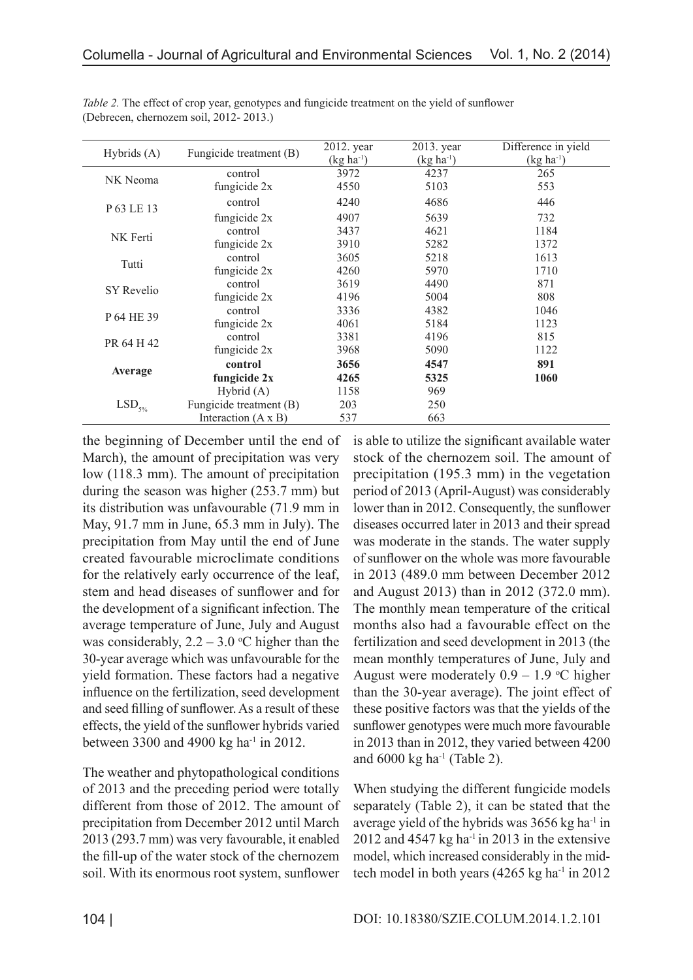| Hybrids $(A)$        | Fungicide treatment (B)    | $2012.$ year<br>$(kg ha^{-1})$ | 2013. year<br>$(kg ha^{-1})$ | Difference in yield<br>$(kg ha^{-1})$ |  |
|----------------------|----------------------------|--------------------------------|------------------------------|---------------------------------------|--|
| NK Neoma             | control<br>fungicide 2x    | 3972<br>4550                   | 4237<br>5103                 | 265<br>553                            |  |
| P 63 LE 13           | control                    | 4240                           | 4686                         | 446                                   |  |
|                      | fungicide $2x$             | 4907                           | 5639                         | 732                                   |  |
| NK Ferti             | control                    | 3437                           | 4621                         | 1184                                  |  |
|                      | fungicide 2x               | 3910                           | 5282                         | 1372                                  |  |
| Tutti                | control                    | 3605                           | 5218                         | 1613                                  |  |
|                      | fungicide 2x               | 4260                           | 5970                         | 1710                                  |  |
| SY Revelio           | control                    | 3619                           | 4490                         | 871                                   |  |
|                      | fungicide 2x               | 4196                           | 5004                         | 808                                   |  |
| P 64 HE 39           | control                    | 3336                           | 4382                         | 1046                                  |  |
|                      | fungicide 2x               | 4061                           | 5184                         | 1123                                  |  |
| PR 64 H 42           | control                    | 3381                           | 4196                         | 815                                   |  |
|                      | fungicide 2x               | 3968                           | 5090                         | 1122                                  |  |
| Average              | control                    | 3656                           | 4547                         | 891                                   |  |
|                      | fungicide 2x               | 4265                           | 5325                         | 1060                                  |  |
| $\mathrm{LSD}_{5\%}$ | Hybrid $(A)$               | 1158                           | 969                          |                                       |  |
|                      | Fungicide treatment (B)    | 203                            | 250                          |                                       |  |
|                      | Interaction $(A \times B)$ | 537                            | 663                          |                                       |  |

*Table 2.* The effect of crop year, genotypes and fungicide treatment on the yield of sunflower (Debrecen, chernozem soil, 2012- 2013.)

the beginning of December until the end of March), the amount of precipitation was very low (118.3 mm). The amount of precipitation during the season was higher (253.7 mm) but its distribution was unfavourable (71.9 mm in May, 91.7 mm in June, 65.3 mm in July). The precipitation from May until the end of June created favourable microclimate conditions for the relatively early occurrence of the leaf, stem and head diseases of sunflower and for the development of a significant infection. The average temperature of June, July and August was considerably,  $2.2 - 3.0$  °C higher than the 30-year average which was unfavourable for the yield formation. These factors had a negative influence on the fertilization, seed development and seed filling of sunflower. As a result of these effects, the yield of the sunflower hybrids varied between 3300 and 4900 kg ha<sup>-1</sup> in 2012.

The weather and phytopathological conditions of 2013 and the preceding period were totally different from those of 2012. The amount of precipitation from December 2012 until March 2013 (293.7 mm) was very favourable, it enabled the fill-up of the water stock of the chernozem soil. With its enormous root system, sunflower

is able to utilize the significant available water stock of the chernozem soil. The amount of precipitation (195.3 mm) in the vegetation period of 2013 (April-August) was considerably lower than in 2012. Consequently, the sunflower diseases occurred later in 2013 and their spread was moderate in the stands. The water supply of sunflower on the whole was more favourable in 2013 (489.0 mm between December 2012 and August 2013) than in 2012 (372.0 mm). The monthly mean temperature of the critical months also had a favourable effect on the fertilization and seed development in 2013 (the mean monthly temperatures of June, July and August were moderately  $0.9 - 1.9$  °C higher than the 30-year average). The joint effect of these positive factors was that the yields of the sunflower genotypes were much more favourable in 2013 than in 2012, they varied between 4200 and  $6000 \text{ kg}$  ha<sup>-1</sup> (Table 2).

When studying the different fungicide models separately (Table 2), it can be stated that the average yield of the hybrids was  $3656$  kg ha<sup>-1</sup> in  $2012$  and  $4547$  kg ha<sup>-1</sup> in 2013 in the extensive model, which increased considerably in the midtech model in both years  $(4265 \text{ kg ha}^{-1} \text{ in } 2012)$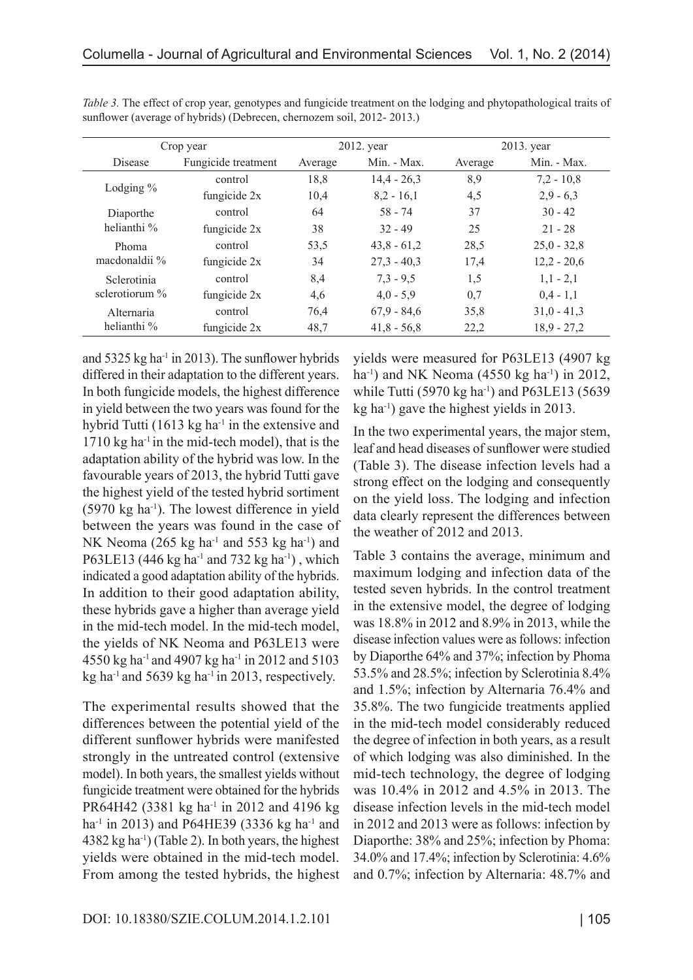|                                  | Crop year           |         | 2012. year    | 2013. year |               |  |
|----------------------------------|---------------------|---------|---------------|------------|---------------|--|
| Disease                          | Fungicide treatment | Average | Min. - Max.   | Average    | Min. - Max.   |  |
| Lodging $%$                      | control             | 18,8    | $14,4 - 26,3$ | 8,9        | $7,2 - 10,8$  |  |
|                                  | fungicide $2x$      | 10,4    | $8,2 - 16,1$  | 4,5        | $2,9 - 6,3$   |  |
| Diaporthe<br>helianthi %         | control             | 64      | 58 - 74       | 37         | $30 - 42$     |  |
|                                  | fungicide $2x$      | 38      | $32 - 49$     | 25         | $21 - 28$     |  |
| Phoma<br>macdonaldii %           | control             | 53,5    | $43,8 - 61,2$ | 28,5       | $25,0 - 32,8$ |  |
|                                  | fungicide $2x$      | 34      | $27.3 - 40.3$ | 17,4       | $12,2 - 20,6$ |  |
| Sclerotinia<br>sclerotiorum $\%$ | control             | 8,4     | $7,3 - 9,5$   | 1,5        | $1,1 - 2,1$   |  |
|                                  | fungicide $2x$      | 4,6     | $4,0 - 5,9$   | 0,7        | $0,4 - 1,1$   |  |
| Alternaria                       | control             | 76,4    | $67,9 - 84,6$ | 35,8       | $31,0 - 41,3$ |  |
| helianthi %                      | fungicide 2x        | 48,7    | $41,8 - 56,8$ | 22,2       | $18,9 - 27,2$ |  |

*Table 3.* The effect of crop year, genotypes and fungicide treatment on the lodging and phytopathological traits of sunflower (average of hybrids) (Debrecen, chernozem soil, 2012- 2013.)

and  $5325$  kg ha<sup>-1</sup> in 2013). The sunflower hybrids differed in their adaptation to the different years. In both fungicide models, the highest difference in yield between the two years was found for the hybrid Tutti  $(1613 \text{ kg ha}^{-1})$  in the extensive and  $1710$  kg ha<sup>-1</sup> in the mid-tech model), that is the adaptation ability of the hybrid was low. In the favourable years of 2013, the hybrid Tutti gave the highest yield of the tested hybrid sortiment  $(5970 \text{ kg ha}^{-1})$ . The lowest difference in yield between the years was found in the case of NK Neoma (265 kg ha<sup>-1</sup> and 553 kg ha<sup>-1</sup>) and P63LE13 (446 kg ha<sup>-1</sup> and 732 kg ha<sup>-1</sup>), which indicated a good adaptation ability of the hybrids. In addition to their good adaptation ability, these hybrids gave a higher than average yield in the mid-tech model. In the mid-tech model, the yields of NK Neoma and P63LE13 were 4550 kg ha-1 and 4907 kg ha-1 in 2012 and 5103 kg ha<sup>-1</sup> and 5639 kg ha<sup>-1</sup> in 2013, respectively.

The experimental results showed that the differences between the potential yield of the different sunflower hybrids were manifested strongly in the untreated control (extensive model). In both years, the smallest yields without fungicide treatment were obtained for the hybrids PR64H42 (3381 kg ha<sup>-1</sup> in 2012 and 4196 kg ha<sup>-1</sup> in 2013) and P64HE39 (3336 kg ha<sup>-1</sup> and  $4382$  kg ha<sup>-1</sup>) (Table 2). In both years, the highest yields were obtained in the mid-tech model. From among the tested hybrids, the highest yields were measured for P63LE13 (4907 kg ha<sup>-1</sup>) and NK Neoma (4550 kg ha<sup>-1</sup>) in 2012, while Tutti (5970 kg ha<sup>-1</sup>) and P63LE13 (5639  $kg$  ha<sup>-1</sup>) gave the highest yields in 2013.

In the two experimental years, the major stem, leaf and head diseases of sunflower were studied (Table 3). The disease infection levels had a strong effect on the lodging and consequently on the yield loss. The lodging and infection data clearly represent the differences between the weather of 2012 and 2013.

Table 3 contains the average, minimum and maximum lodging and infection data of the tested seven hybrids. In the control treatment in the extensive model, the degree of lodging was 18.8% in 2012 and 8.9% in 2013, while the disease infection values were as follows: infection by Diaporthe 64% and 37%; infection by Phoma 53.5% and 28.5%; infection by Sclerotinia 8.4% and 1.5%; infection by Alternaria 76.4% and 35.8%. The two fungicide treatments applied in the mid-tech model considerably reduced the degree of infection in both years, as a result of which lodging was also diminished. In the mid-tech technology, the degree of lodging was 10.4% in 2012 and 4.5% in 2013. The disease infection levels in the mid-tech model in 2012 and 2013 were as follows: infection by Diaporthe: 38% and 25%; infection by Phoma: 34.0% and 17.4%; infection by Sclerotinia: 4.6% and 0.7%; infection by Alternaria: 48.7% and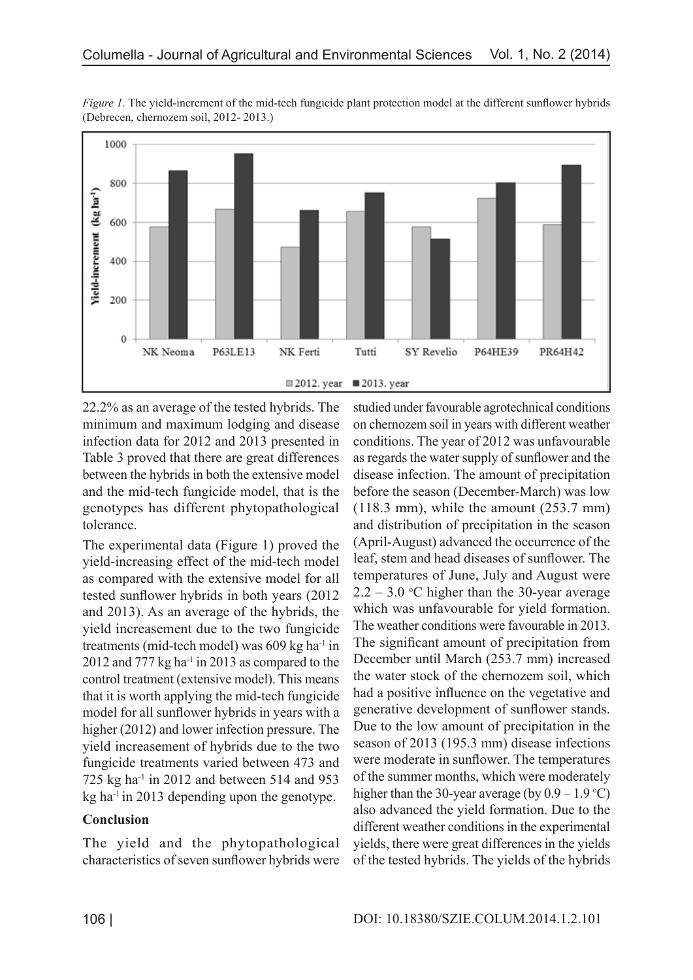

*Figure 1.* The yield-increment of the mid-tech fungicide plant protection model at the different sunflower hybrids (Debrecen, chernozem soil, 2012- 2013.)

22.2% as an average of the tested hybrids. The minimum and maximum lodging and disease infection data for 2012 and 2013 presented in Table 3 proved that there are great differences between the hybrids in both the extensive model and the mid-tech fungicide model, that is the genotypes has different phytopathological tolerance.

The experimental data (Figure 1) proved the yield-increasing effect of the mid-tech model as compared with the extensive model for all tested sunflower hybrids in both years (2012 and 2013). As an average of the hybrids, the yield increasement due to the two fungicide treatments (mid-tech model) was  $609 \text{ kg}$  ha<sup>-1</sup> in  $2012$  and 777 kg ha<sup>-1</sup> in 2013 as compared to the control treatment (extensive model). This means that it is worth applying the mid-tech fungicide model for all sunflower hybrids in years with a higher (2012) and lower infection pressure. The yield increasement of hybrids due to the two fungicide treatments varied between 473 and 725 kg ha<sup>-1</sup> in 2012 and between 514 and 953 kg ha<sup>-1</sup> in 2013 depending upon the genotype.

# **Conclusion**

The yield and the phytopathological characteristics of seven sunflower hybrids were studied under favourable agrotechnical conditions on chernozem soil in years with different weather conditions. The year of 2012 was unfavourable as regards the water supply of sunflower and the disease infection. The amount of precipitation before the season (December-March) was low (118.3 mm), while the amount (253.7 mm) and distribution of precipitation in the season (April-August) advanced the occurrence of the leaf, stem and head diseases of sunflower. The temperatures of June, July and August were  $2.2 - 3.0$  °C higher than the 30-year average which was unfavourable for yield formation. The weather conditions were favourable in 2013. The significant amount of precipitation from December until March (253.7 mm) increased the water stock of the chernozem soil, which had a positive influence on the vegetative and generative development of sunflower stands. Due to the low amount of precipitation in the season of 2013 (195.3 mm) disease infections were moderate in sunflower. The temperatures of the summer months, which were moderately higher than the 30-year average (by  $0.9 - 1.9$  °C) also advanced the yield formation. Due to the different weather conditions in the experimental yields, there were great differences in the yields of the tested hybrids. The yields of the hybrids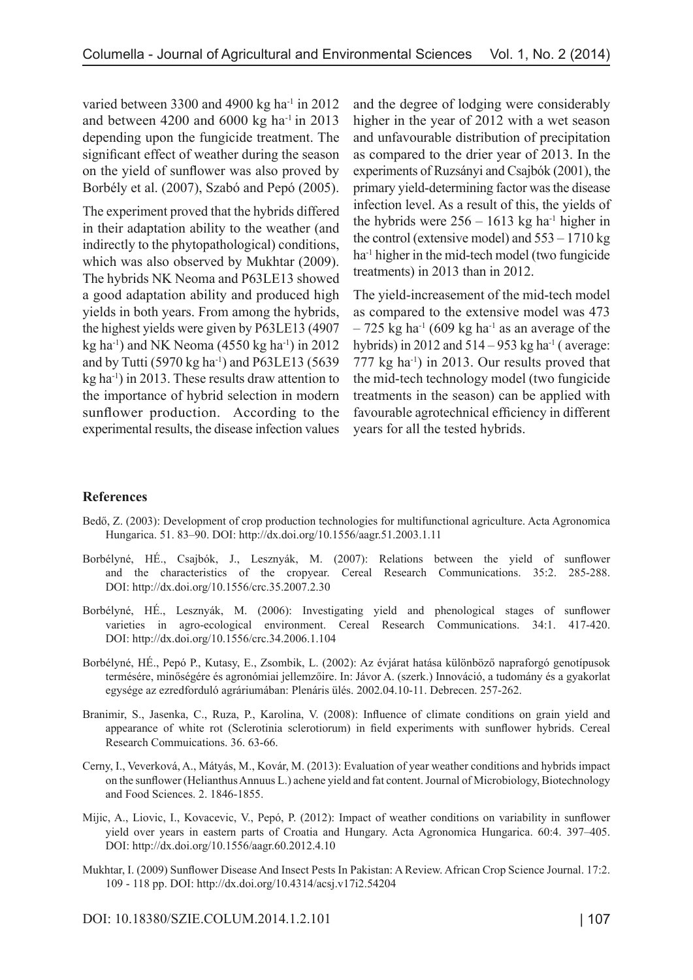varied between 3300 and 4900 kg ha<sup>-1</sup> in 2012 and between 4200 and  $6000 \text{ kg}$  ha<sup>-1</sup> in 2013 depending upon the fungicide treatment. The significant effect of weather during the season on the yield of sunflower was also proved by Borbély et al. (2007), Szabó and Pepó (2005).

The experiment proved that the hybrids differed in their adaptation ability to the weather (and indirectly to the phytopathological) conditions, which was also observed by Mukhtar (2009). The hybrids NK Neoma and P63LE13 showed a good adaptation ability and produced high yields in both years. From among the hybrids, the highest yields were given by P63LE13 (4907 kg ha<sup>-1</sup>) and NK Neoma (4550 kg ha<sup>-1</sup>) in 2012 and by Tutti (5970 kg ha<sup>-1</sup>) and P63LE13 (5639)  $kg$  ha<sup>-1</sup>) in 2013. These results draw attention to the importance of hybrid selection in modern sunflower production. According to the experimental results, the disease infection values and the degree of lodging were considerably higher in the year of 2012 with a wet season and unfavourable distribution of precipitation as compared to the drier year of 2013. In the experiments of Ruzsányi and Csajbók (2001), the primary yield-determining factor was the disease infection level. As a result of this, the yields of the hybrids were  $256 - 1613$  kg ha<sup>-1</sup> higher in the control (extensive model) and 553 – 1710 kg ha<sup>-1</sup> higher in the mid-tech model (two fungicide treatments) in 2013 than in 2012.

The yield-increasement of the mid-tech model as compared to the extensive model was 473  $-725$  kg ha<sup>-1</sup> (609 kg ha<sup>-1</sup> as an average of the hybrids) in 2012 and  $514 - 953$  kg ha<sup>-1</sup> (average: 777 kg ha-1) in 2013. Our results proved that the mid-tech technology model (two fungicide treatments in the season) can be applied with favourable agrotechnical efficiency in different years for all the tested hybrids.

# **References**

- Bedő, Z. (2003): Development of crop production technologies for multifunctional agriculture. Acta Agronomica Hungarica. 51. 83–90. DOI: http://dx.doi.org/10.1556/aagr.51.2003.1.11
- Borbélyné, HÉ., Csajbók, J., Lesznyák, M. (2007): Relations between the yield of sunflower and the characteristics of the cropyear. Cereal Research Communications. 35:2. 285-288. DOI: http://dx.doi.org/10.1556/crc.35.2007.2.30
- Borbélyné, HÉ., Lesznyák, M. (2006): Investigating yield and phenological stages of sunflower varieties in agro-ecological environment. Cereal Research Communications. 34:1. 417-420. DOI: http://dx.doi.org/10.1556/crc.34.2006.1.104
- Borbélyné, HÉ., Pepó P., Kutasy, E., Zsombik, L. (2002): Az évjárat hatása különböző napraforgó genotípusok termésére, minőségére és agronómiai jellemzőire. In: Jávor A. (szerk.) Innováció, a tudomány és a gyakorlat egysége az ezredforduló agráriumában: Plenáris ülés. 2002.04.10-11. Debrecen. 257-262.
- Branimir, S., Jasenka, C., Ruza, P., Karolina, V. (2008): Influence of climate conditions on grain yield and appearance of white rot (Sclerotinia sclerotiorum) in field experiments with sunflower hybrids. Cereal Research Commuications. 36. 63-66.
- Cerny, I., Veverková, A., Mátyás, M., Kovár, M. (2013): Evaluation of year weather conditions and hybrids impact on the sunflower (Helianthus Annuus L.) achene yield and fat content. Journal of Microbiology, Biotechnology and Food Sciences. 2. 1846-1855.
- Mijic, A., Liovic, I., Kovacevic, V., Pepó, P. (2012): Impact of weather conditions on variability in sunflower yield over years in eastern parts of Croatia and Hungary. Acta Agronomica Hungarica. 60:4. 397–405. DOI: http://dx.doi.org/10.1556/aagr.60.2012.4.10
- Mukhtar, I. (2009) Sunflower Disease And Insect Pests In Pakistan: A Review. African Crop Science Journal. 17:2. 109 - 118 pp. DOI: http://dx.doi.org/10.4314/acsj.v17i2.54204